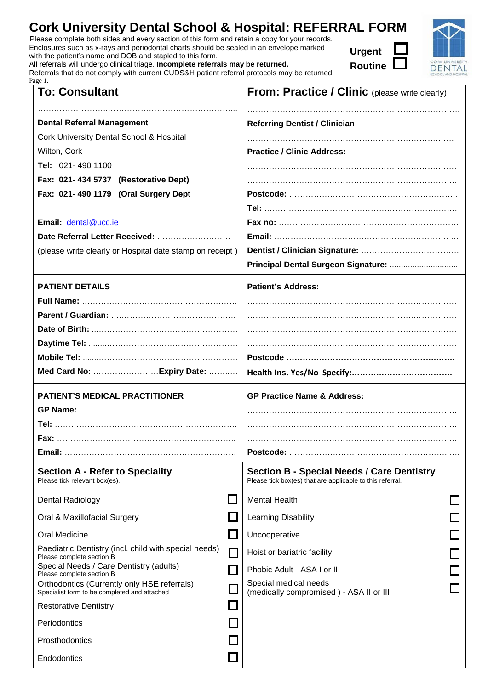| <b>Cork University Dental School &amp; Hospital: REFERRAL FORM</b>                            | K |
|-----------------------------------------------------------------------------------------------|---|
| Please complete both sides and every section of this form and retain a copy for your records. |   |

Enclosures such as x-rays and periodontal charts should be sealed in an envelope marked with the patient's name and DOB and stapled to this form.

Page 1.

Prosthodontics

**Endodontics** 

All referrals will undergo clinical triage. **Incomplete referrals may l** 

Referrals that do not comply with current C

| be returned. |  |
|--------------|--|
|              |  |

| <b>To: Consultant</b>                                    | <b>From: Practice / Clinic (please write clearly)</b> |
|----------------------------------------------------------|-------------------------------------------------------|
| <b>Dental Referral Management</b>                        | <b>Referring Dentist / Clinician</b>                  |
| Cork University Dental School & Hospital                 |                                                       |
| Wilton, Cork                                             | <b>Practice / Clinic Address:</b>                     |
| Tel: 021-490 1100                                        |                                                       |
| Fax: 021-434 5737 (Restorative Dept)                     |                                                       |
| Fax: 021-490 1179 (Oral Surgery Dept                     |                                                       |
|                                                          |                                                       |
| Email: dental@ucc.ie                                     |                                                       |
|                                                          |                                                       |
| (please write clearly or Hospital date stamp on receipt) |                                                       |
|                                                          |                                                       |
| <b>PATIENT DETAILS</b>                                   | <b>Patient's Address:</b>                             |
|                                                          |                                                       |
|                                                          |                                                       |

**Urgent** 

| Email: dental@ucc.ie                                                                        |                             |                                                                                                                |  |  |
|---------------------------------------------------------------------------------------------|-----------------------------|----------------------------------------------------------------------------------------------------------------|--|--|
| Date Referral Letter Received:                                                              |                             |                                                                                                                |  |  |
| (please write clearly or Hospital date stamp on receipt)                                    |                             |                                                                                                                |  |  |
|                                                                                             |                             | Principal Dental Surgeon Signature:                                                                            |  |  |
| <b>PATIENT DETAILS</b>                                                                      |                             | <b>Patient's Address:</b>                                                                                      |  |  |
|                                                                                             |                             |                                                                                                                |  |  |
|                                                                                             |                             |                                                                                                                |  |  |
|                                                                                             |                             |                                                                                                                |  |  |
|                                                                                             |                             |                                                                                                                |  |  |
|                                                                                             |                             |                                                                                                                |  |  |
|                                                                                             |                             |                                                                                                                |  |  |
| <b>PATIENT'S MEDICAL PRACTITIONER</b>                                                       |                             | <b>GP Practice Name &amp; Address:</b>                                                                         |  |  |
|                                                                                             |                             |                                                                                                                |  |  |
|                                                                                             |                             |                                                                                                                |  |  |
|                                                                                             |                             |                                                                                                                |  |  |
|                                                                                             |                             |                                                                                                                |  |  |
| <b>Section A - Refer to Speciality</b><br>Please tick relevant box(es).                     |                             | <b>Section B - Special Needs / Care Dentistry</b><br>Please tick box(es) that are applicable to this referral. |  |  |
| Dental Radiology                                                                            |                             | <b>Mental Health</b>                                                                                           |  |  |
| Oral & Maxillofacial Surgery                                                                |                             | Learning Disability                                                                                            |  |  |
| Oral Medicine                                                                               | $\mathcal{L}_{\mathcal{A}}$ | Uncooperative                                                                                                  |  |  |
| Paediatric Dentistry (incl. child with special needs)<br>Please complete section B          | $\Box$                      | Hoist or bariatric facility                                                                                    |  |  |
| Special Needs / Care Dentistry (adults)<br>Please complete section B                        | $\mathcal{L}$               | Phobic Adult - ASA I or II                                                                                     |  |  |
| Orthodontics (Currently only HSE referrals)<br>Specialist form to be completed and attached |                             | Special medical needs<br>(medically compromised) - ASA II or III                                               |  |  |
| <b>Restorative Dentistry</b>                                                                |                             |                                                                                                                |  |  |
| Periodontics                                                                                |                             |                                                                                                                |  |  |

 $\Box$ 

**CORK UNIVERSIT**